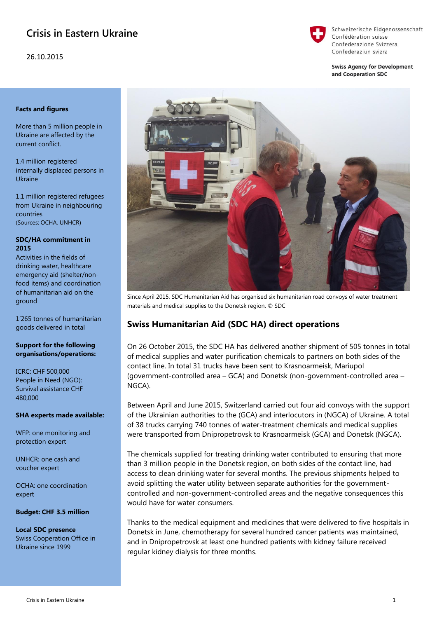# **Crisis in Eastern Ukraine**

26.10.2015



Schweizerische Eidgenossenschaft Confédération suisse Confederazione Svizzera Confederaziun svizra

**Swiss Agency for Development** and Cooperation SDC

# **Facts and figures**

More than 5 million people in Ukraine are affected by the current conflict.

1.4 million registered internally displaced persons in Ukraine

1.1 million registered refugees from Ukraine in neighbouring countries (Sources: OCHA, UNHCR)

## **SDC/HA commitment in 2015**

Activities in the fields of drinking water, healthcare emergency aid (shelter/nonfood items) and coordination of humanitarian aid on the ground

1'265 tonnes of humanitarian goods delivered in total

# **Support for the following organisations/operations:**

ICRC: CHF 500,000 People in Need (NGO): Survival assistance CHF 480,000

# **SHA experts made available:**

WFP: one monitoring and protection expert

UNHCR: one cash and voucher expert

OCHA: one coordination expert

**Budget: CHF 3.5 million** 

**Local SDC presence** Swiss Cooperation Office in Ukraine since 1999



Since April 2015, SDC Humanitarian Aid has organised six humanitarian road convoys of water treatment materials and medical supplies to the Donetsk region. © SDC

# **Swiss Humanitarian Aid (SDC HA) direct operations**

On 26 October 2015, the SDC HA has delivered another shipment of 505 tonnes in total of medical supplies and water purification chemicals to partners on both sides of the contact line. In total 31 trucks have been sent to Krasnoarmeisk, Mariupol (government-controlled area – GCA) and Donetsk (non-government-controlled area – NGCA).

Between April and June 2015, Switzerland carried out four aid convoys with the support of the Ukrainian authorities to the (GCA) and interlocutors in (NGCA) of Ukraine. A total of 38 trucks carrying 740 tonnes of water-treatment chemicals and medical supplies were transported from Dnipropetrovsk to Krasnoarmeisk (GCA) and Donetsk (NGCA).

The chemicals supplied for treating drinking water contributed to ensuring that more than 3 million people in the Donetsk region, on both sides of the contact line, had access to clean drinking water for several months. The previous shipments helped to avoid splitting the water utility between separate authorities for the governmentcontrolled and non-government-controlled areas and the negative consequences this would have for water consumers.

Thanks to the medical equipment and medicines that were delivered to five hospitals in Donetsk in June, chemotherapy for several hundred cancer patients was maintained, and in Dnipropetrovsk at least one hundred patients with kidney failure received regular kidney dialysis for three months.